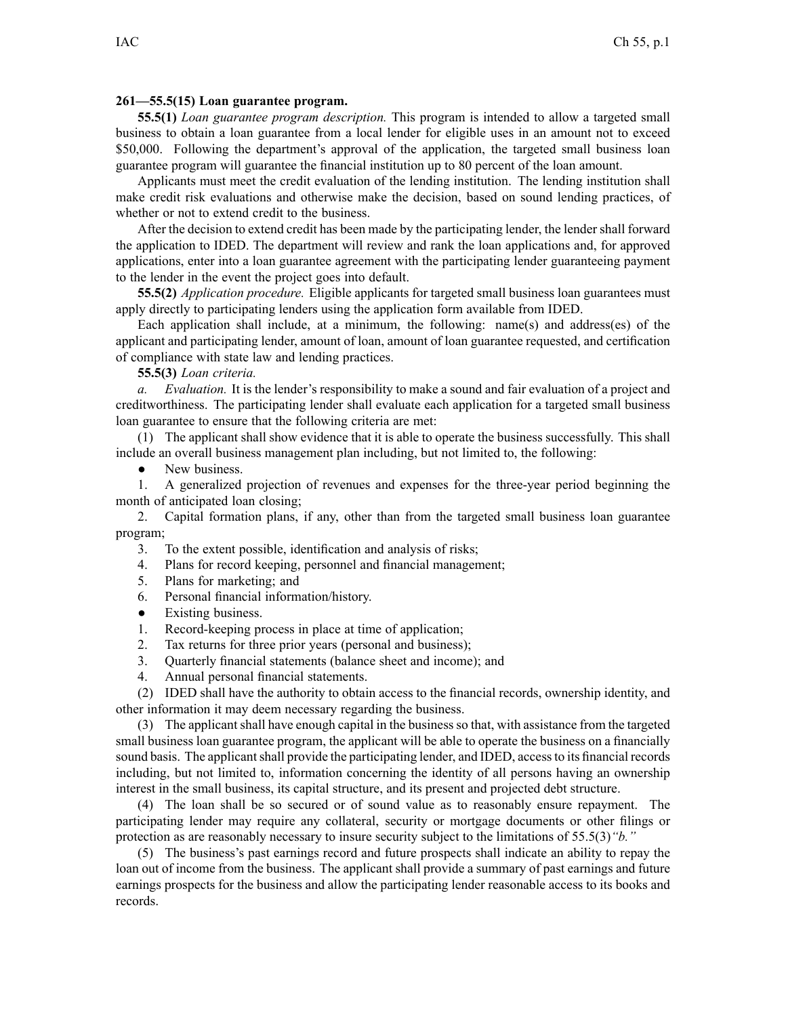## **261—55.5(15) Loan guarantee program.**

**55.5(1)** *Loan guarantee program description.* This program is intended to allow <sup>a</sup> targeted small business to obtain <sup>a</sup> loan guarantee from <sup>a</sup> local lender for eligible uses in an amount not to exceed \$50,000. Following the department's approval of the application, the targeted small business loan guarantee program will guarantee the financial institution up to 80 percen<sup>t</sup> of the loan amount.

Applicants must meet the credit evaluation of the lending institution. The lending institution shall make credit risk evaluations and otherwise make the decision, based on sound lending practices, of whether or not to extend credit to the business.

After the decision to extend credit has been made by the participating lender, the lender shall forward the application to IDED. The department will review and rank the loan applications and, for approved applications, enter into <sup>a</sup> loan guarantee agreemen<sup>t</sup> with the participating lender guaranteeing paymen<sup>t</sup> to the lender in the event the project goes into default.

**55.5(2)** *Application procedure.* Eligible applicants for targeted small business loan guarantees must apply directly to participating lenders using the application form available from IDED.

Each application shall include, at <sup>a</sup> minimum, the following: name(s) and address(es) of the applicant and participating lender, amount of loan, amount of loan guarantee requested, and certification of compliance with state law and lending practices.

**55.5(3)** *Loan criteria.*

*a. Evaluation.* It is the lender's responsibility to make <sup>a</sup> sound and fair evaluation of <sup>a</sup> project and creditworthiness. The participating lender shall evaluate each application for <sup>a</sup> targeted small business loan guarantee to ensure that the following criteria are met:

(1) The applicant shall show evidence that it is able to operate the business successfully. This shall include an overall business managemen<sup>t</sup> plan including, but not limited to, the following:

 $\bullet$ New business.

1. A generalized projection of revenues and expenses for the three-year period beginning the month of anticipated loan closing;

2. Capital formation plans, if any, other than from the targeted small business loan guarantee program;

3. To the extent possible, identification and analysis of risks;

- 4. Plans for record keeping, personnel and financial management;
- 5. Plans for marketing; and
- 6. Personal financial information/history.
- $\bullet$ Existing business.
- 1. Record-keeping process in place at time of application;
- 2. Tax returns for three prior years (personal and business);
- 3. Quarterly financial statements (balance sheet and income); and
- 4. Annual personal financial statements.

(2) IDED shall have the authority to obtain access to the financial records, ownership identity, and other information it may deem necessary regarding the business.

(3) The applicantshall have enough capital in the businessso that, with assistance from the targeted small business loan guarantee program, the applicant will be able to operate the business on <sup>a</sup> financially sound basis. The applicant shall provide the participating lender, and IDED, access to its financial records including, but not limited to, information concerning the identity of all persons having an ownership interest in the small business, its capital structure, and its presen<sup>t</sup> and projected debt structure.

(4) The loan shall be so secured or of sound value as to reasonably ensure repayment. The participating lender may require any collateral, security or mortgage documents or other filings or protection as are reasonably necessary to insure security subject to the limitations of 55.5(3)*"b."*

(5) The business's pas<sup>t</sup> earnings record and future prospects shall indicate an ability to repay the loan out of income from the business. The applicant shall provide <sup>a</sup> summary of pas<sup>t</sup> earnings and future earnings prospects for the business and allow the participating lender reasonable access to its books and records.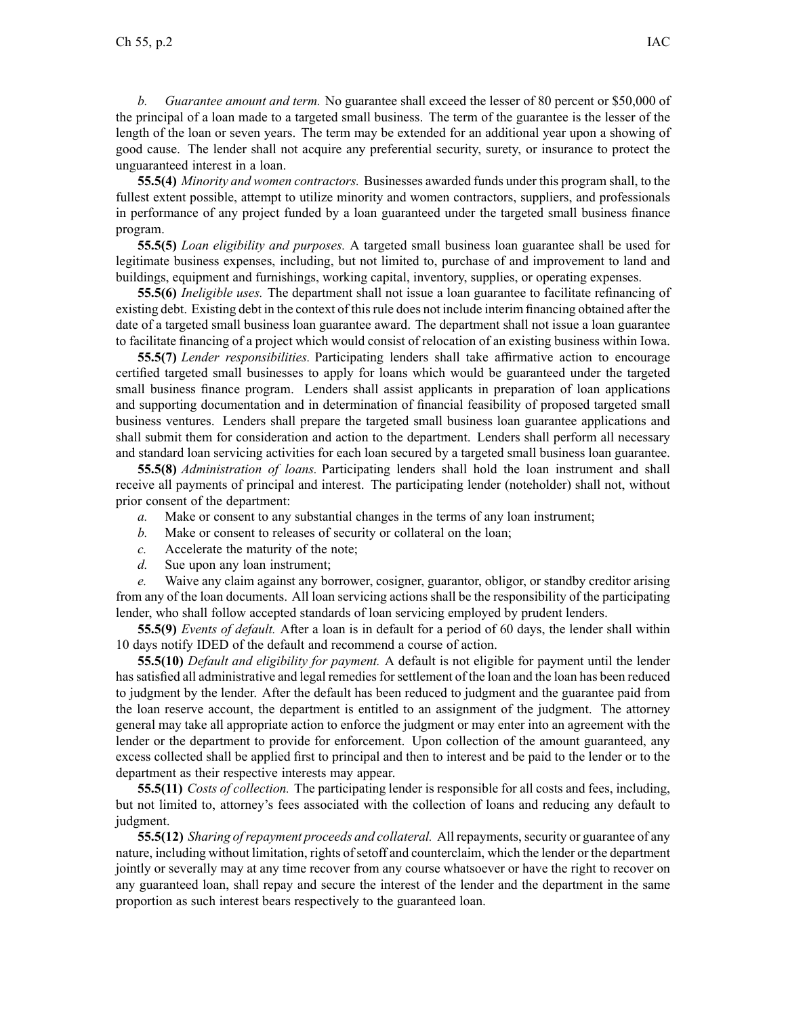**55.5(4)** *Minority and women contractors.* Businesses awarded funds under this program shall, to the fullest extent possible, attempt to utilize minority and women contractors, suppliers, and professionals in performance of any project funded by <sup>a</sup> loan guaranteed under the targeted small business finance program.

**55.5(5)** *Loan eligibility and purposes.* A targeted small business loan guarantee shall be used for legitimate business expenses, including, but not limited to, purchase of and improvement to land and buildings, equipment and furnishings, working capital, inventory, supplies, or operating expenses.

**55.5(6)** *Ineligible uses.* The department shall not issue <sup>a</sup> loan guarantee to facilitate refinancing of existing debt. Existing debt in the context of thisrule does not include interim financing obtained after the date of <sup>a</sup> targeted small business loan guarantee award. The department shall not issue <sup>a</sup> loan guarantee to facilitate financing of <sup>a</sup> project which would consist of relocation of an existing business within Iowa.

**55.5(7)** *Lender responsibilities.* Participating lenders shall take affirmative action to encourage certified targeted small businesses to apply for loans which would be guaranteed under the targeted small business finance program. Lenders shall assist applicants in preparation of loan applications and supporting documentation and in determination of financial feasibility of proposed targeted small business ventures. Lenders shall prepare the targeted small business loan guarantee applications and shall submit them for consideration and action to the department. Lenders shall perform all necessary and standard loan servicing activities for each loan secured by <sup>a</sup> targeted small business loan guarantee.

**55.5(8)** *Administration of loans.* Participating lenders shall hold the loan instrument and shall receive all payments of principal and interest. The participating lender (noteholder) shall not, without prior consent of the department:

- *a.* Make or consent to any substantial changes in the terms of any loan instrument;
- *b.* Make or consent to releases of security or collateral on the loan;
- *c.* Accelerate the maturity of the note;
- *d.* Sue upon any loan instrument;

*e.* Waive any claim against any borrower, cosigner, guarantor, obligor, or standby creditor arising from any of the loan documents. All loan servicing actions shall be the responsibility of the participating lender, who shall follow accepted standards of loan servicing employed by prudent lenders.

**55.5(9)** *Events of default.* After <sup>a</sup> loan is in default for <sup>a</sup> period of 60 days, the lender shall within 10 days notify IDED of the default and recommend <sup>a</sup> course of action.

**55.5(10)** *Default and eligibility for payment.* A default is not eligible for paymen<sup>t</sup> until the lender has satisfied all administrative and legal remedies for settlement of the loan and the loan has been reduced to judgment by the lender. After the default has been reduced to judgment and the guarantee paid from the loan reserve account, the department is entitled to an assignment of the judgment. The attorney general may take all appropriate action to enforce the judgment or may enter into an agreemen<sup>t</sup> with the lender or the department to provide for enforcement. Upon collection of the amount guaranteed, any excess collected shall be applied first to principal and then to interest and be paid to the lender or to the department as their respective interests may appear.

**55.5(11)** *Costs of collection.* The participating lender is responsible for all costs and fees, including, but not limited to, attorney's fees associated with the collection of loans and reducing any default to judgment.

**55.5(12)** *Sharing of repayment proceeds and collateral.* All repayments, security or guarantee of any nature, including without limitation, rights of setoff and counterclaim, which the lender or the department jointly or severally may at any time recover from any course whatsoever or have the right to recover on any guaranteed loan, shall repay and secure the interest of the lender and the department in the same proportion as such interest bears respectively to the guaranteed loan.